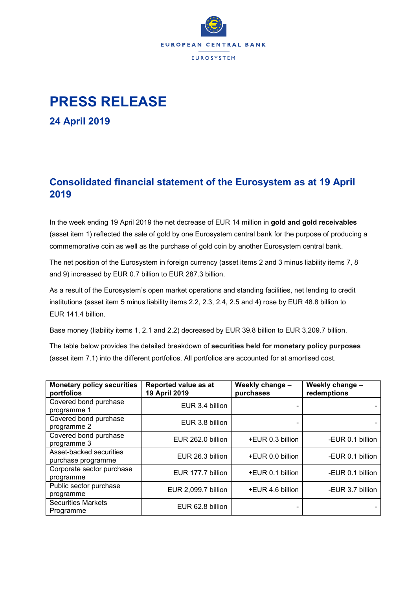

## **PRESS RELEASE**

**24 April 2019**

## **Consolidated financial statement of the Eurosystem as at 19 April 2019**

In the week ending 19 April 2019 the net decrease of EUR 14 million in **gold and gold receivables** (asset item 1) reflected the sale of gold by one Eurosystem central bank for the purpose of producing a commemorative coin as well as the purchase of gold coin by another Eurosystem central bank.

The net position of the Eurosystem in foreign currency (asset items 2 and 3 minus liability items 7, 8 and 9) increased by EUR 0.7 billion to EUR 287.3 billion.

As a result of the Eurosystem's open market operations and standing facilities, net lending to credit institutions (asset item 5 minus liability items 2.2, 2.3, 2.4, 2.5 and 4) rose by EUR 48.8 billion to EUR 141.4 billion.

Base money (liability items 1, 2.1 and 2.2) decreased by EUR 39.8 billion to EUR 3,209.7 billion.

The table below provides the detailed breakdown of **securities held for monetary policy purposes** (asset item 7.1) into the different portfolios. All portfolios are accounted for at amortised cost.

| <b>Monetary policy securities</b><br>portfolios | Reported value as at<br>19 April 2019 | Weekly change -<br>purchases | Weekly change -<br>redemptions |
|-------------------------------------------------|---------------------------------------|------------------------------|--------------------------------|
| Covered bond purchase<br>programme 1            | EUR 3.4 billion                       |                              |                                |
| Covered bond purchase<br>programme 2            | EUR 3.8 billion                       |                              |                                |
| Covered bond purchase<br>programme 3            | EUR 262.0 billion                     | +EUR 0.3 billion             | -EUR 0.1 billion               |
| Asset-backed securities<br>purchase programme   | EUR 26.3 billion                      | +EUR 0.0 billion             | -EUR 0.1 billion               |
| Corporate sector purchase<br>programme          | EUR 177.7 billion                     | +EUR 0.1 billion             | -EUR 0.1 billion               |
| Public sector purchase<br>programme             | EUR 2,099.7 billion                   | +EUR 4.6 billion             | -EUR 3.7 billion               |
| <b>Securities Markets</b><br>Programme          | EUR 62.8 billion                      |                              |                                |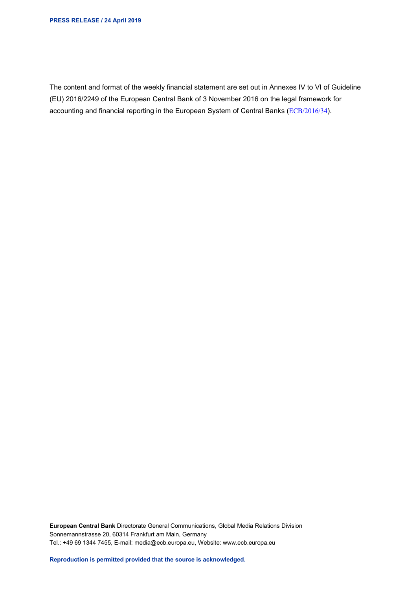The content and format of the weekly financial statement are set out in Annexes IV to VI of Guideline (EU) 2016/2249 of the European Central Bank of 3 November 2016 on the legal framework for accounting and financial reporting in the European System of Central Banks ([ECB/2016/34](http://www.ecb.europa.eu/ecb/legal/1001/1012/html/index.en.html)).

**European Central Bank** Directorate General Communications, Global Media Relations Division Sonnemannstrasse 20, 60314 Frankfurt am Main, Germany Tel.: +49 69 1344 7455, E-mail: media@ecb.europa.eu, Website: www.ecb.europa.eu